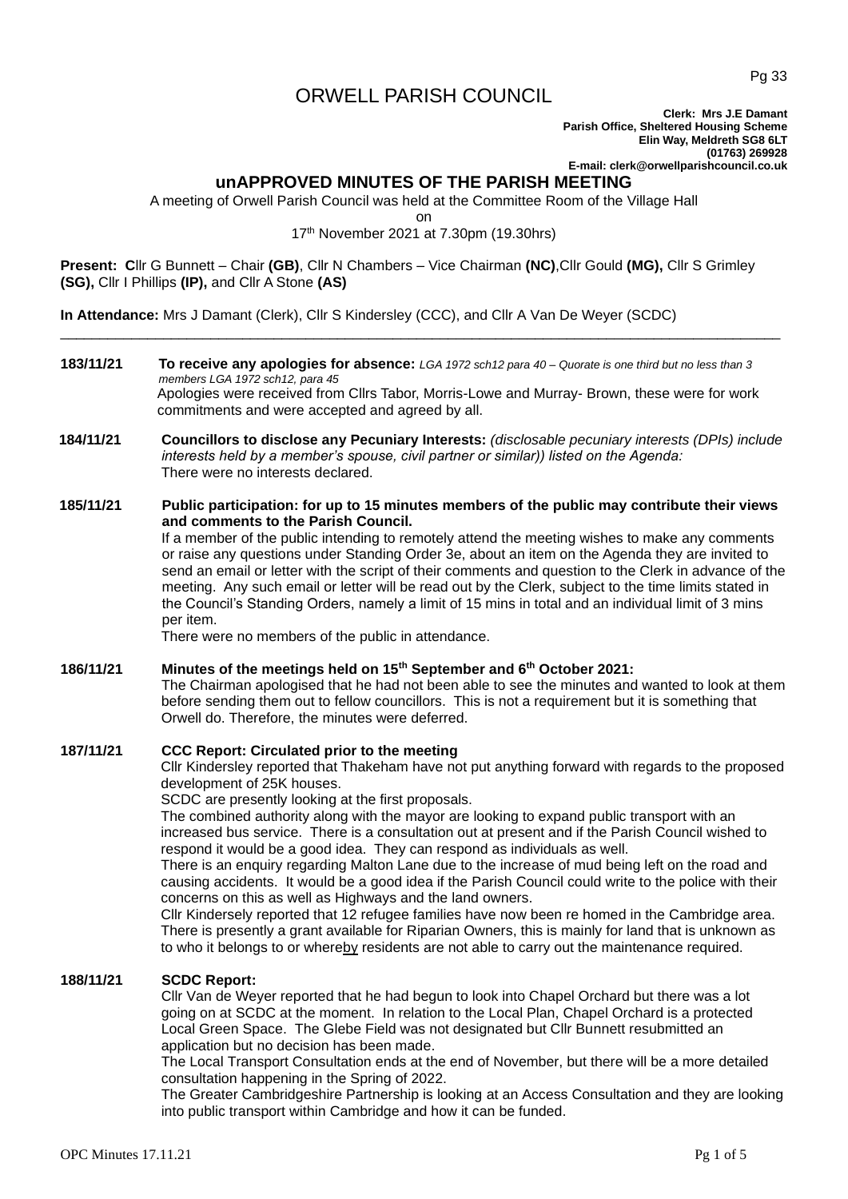# ORWELL PARISH COUNCIL

Pg 33

**Clerk: Mrs J.E Damant Parish Office, Sheltered Housing Scheme Elin Way, Meldreth SG8 6LT (01763) 269928 E-mail: clerk@orwellparishcouncil.co.uk**

# **unAPPROVED MINUTES OF THE PARISH MEETING**

A meeting of Orwell Parish Council was held at the Committee Room of the Village Hall

on

17th November 2021 at 7.30pm (19.30hrs)

**Present: C**llr G Bunnett – Chair **(GB)**, Cllr N Chambers – Vice Chairman **(NC)**,Cllr Gould **(MG),** Cllr S Grimley **(SG),** Cllr I Phillips **(IP),** and Cllr A Stone **(AS)**

**In Attendance:** Mrs J Damant (Clerk), Cllr S Kindersley (CCC), and Cllr A Van De Weyer (SCDC)

**183/11/21 To receive any apologies for absence:** *LGA 1972 sch12 para 40 – Quorate is one third but no less than 3 members LGA 1972 sch12, para 45* Apologies were received from Cllrs Tabor, Morris-Lowe and Murray- Brown, these were for work commitments and were accepted and agreed by all.

\_\_\_\_\_\_\_\_\_\_\_\_\_\_\_\_\_\_\_\_\_\_\_\_\_\_\_\_\_\_\_\_\_\_\_\_\_\_\_\_\_\_\_\_\_\_\_\_\_\_\_\_\_\_\_\_\_\_\_\_\_\_\_\_\_\_\_\_\_\_\_\_\_\_\_\_\_\_\_\_\_\_\_\_\_\_\_\_\_\_\_

**184/11/21 Councillors to disclose any Pecuniary Interests:** *(disclosable pecuniary interests (DPIs) include interests held by a member's spouse, civil partner or similar)) listed on the Agenda:* There were no interests declared.

## **185/11/21 Public participation: for up to 15 minutes members of the public may contribute their views and comments to the Parish Council.**

If a member of the public intending to remotely attend the meeting wishes to make any comments or raise any questions under Standing Order 3e, about an item on the Agenda they are invited to send an email or letter with the script of their comments and question to the Clerk in advance of the meeting. Any such email or letter will be read out by the Clerk, subject to the time limits stated in the Council's Standing Orders, namely a limit of 15 mins in total and an individual limit of 3 mins per item.

There were no members of the public in attendance.

#### **186/11/21 Minutes of the meetings held on 15th September and 6th October 2021:**

The Chairman apologised that he had not been able to see the minutes and wanted to look at them before sending them out to fellow councillors. This is not a requirement but it is something that Orwell do. Therefore, the minutes were deferred.

## **187/11/21 CCC Report: Circulated prior to the meeting**

Cllr Kindersley reported that Thakeham have not put anything forward with regards to the proposed development of 25K houses.

SCDC are presently looking at the first proposals.

The combined authority along with the mayor are looking to expand public transport with an increased bus service. There is a consultation out at present and if the Parish Council wished to respond it would be a good idea. They can respond as individuals as well.

There is an enquiry regarding Malton Lane due to the increase of mud being left on the road and causing accidents. It would be a good idea if the Parish Council could write to the police with their concerns on this as well as Highways and the land owners.

Cllr Kindersely reported that 12 refugee families have now been re homed in the Cambridge area. There is presently a grant available for Riparian Owners, this is mainly for land that is unknown as to who it belongs to or whereby residents are not able to carry out the maintenance required.

## **188/11/21 SCDC Report:**

Cllr Van de Weyer reported that he had begun to look into Chapel Orchard but there was a lot going on at SCDC at the moment. In relation to the Local Plan, Chapel Orchard is a protected Local Green Space. The Glebe Field was not designated but Cllr Bunnett resubmitted an application but no decision has been made.

The Local Transport Consultation ends at the end of November, but there will be a more detailed consultation happening in the Spring of 2022.

The Greater Cambridgeshire Partnership is looking at an Access Consultation and they are looking into public transport within Cambridge and how it can be funded.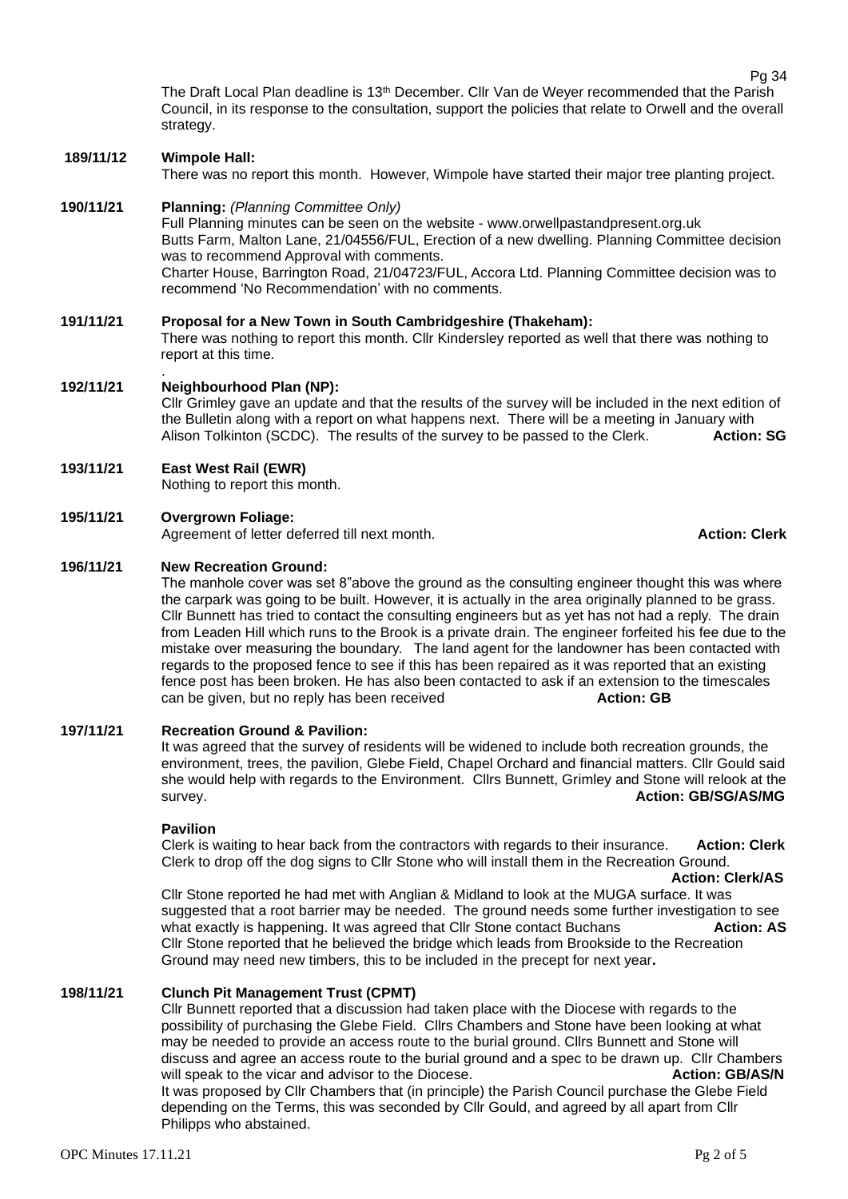The Draft Local Plan deadline is 13<sup>th</sup> December. Cllr Van de Weyer recommended that the Parish Council, in its response to the consultation, support the policies that relate to Orwell and the overall strategy.

## **189/11/12 Wimpole Hall:**

There was no report this month. However, Wimpole have started their major tree planting project.

#### **190/11/21 Planning:** *(Planning Committee Only)*

Full Planning minutes can be seen on the website - www.orwellpastandpresent.org.uk Butts Farm, Malton Lane, 21/04556/FUL, Erection of a new dwelling. Planning Committee decision was to recommend Approval with comments. Charter House, Barrington Road, 21/04723/FUL, Accora Ltd. Planning Committee decision was to recommend 'No Recommendation' with no comments.

# **191/11/21 Proposal for a New Town in South Cambridgeshire (Thakeham):**

There was nothing to report this month. Cllr Kindersley reported as well that there was nothing to report at this time.

#### . **192/11/21 Neighbourhood Plan (NP):**

Cllr Grimley gave an update and that the results of the survey will be included in the next edition of the Bulletin along with a report on what happens next. There will be a meeting in January with Alison Tolkinton (SCDC). The results of the survey to be passed to the Clerk. **Action: SG**

## **193/11/21 East West Rail (EWR)**

Nothing to report this month.

## **195/11/21 Overgrown Foliage:**

Agreement of letter deferred till next month. **Action: Clerk Action: Clerk** 

## **196/11/21 New Recreation Ground:**

The manhole cover was set 8"above the ground as the consulting engineer thought this was where the carpark was going to be built. However, it is actually in the area originally planned to be grass. Cllr Bunnett has tried to contact the consulting engineers but as yet has not had a reply. The drain from Leaden Hill which runs to the Brook is a private drain. The engineer forfeited his fee due to the mistake over measuring the boundary. The land agent for the landowner has been contacted with regards to the proposed fence to see if this has been repaired as it was reported that an existing fence post has been broken. He has also been contacted to ask if an extension to the timescales<br>can be given but no reply has been received<br>**Action: GB** can be given, but no reply has been received

#### **197/11/21 Recreation Ground & Pavilion:**

It was agreed that the survey of residents will be widened to include both recreation grounds, the environment, trees, the pavilion, Glebe Field, Chapel Orchard and financial matters. Cllr Gould said she would help with regards to the Environment. Cllrs Bunnett, Grimley and Stone will relook at the survey. **Action: GB/SG/AS/MG**

#### **Pavilion**

Clerk is waiting to hear back from the contractors with regards to their insurance. **Action: Clerk**  Clerk to drop off the dog signs to Cllr Stone who will install them in the Recreation Ground.

#### **Action: Clerk/AS**

Cllr Stone reported he had met with Anglian & Midland to look at the MUGA surface. It was suggested that a root barrier may be needed. The ground needs some further investigation to see what exactly is happening. It was agreed that Cllr Stone contact Buchans **Action: AS** Cllr Stone reported that he believed the bridge which leads from Brookside to the Recreation Ground may need new timbers, this to be included in the precept for next year**.**

# **198/11/21 Clunch Pit Management Trust (CPMT)**

Cllr Bunnett reported that a discussion had taken place with the Diocese with regards to the possibility of purchasing the Glebe Field. Cllrs Chambers and Stone have been looking at what may be needed to provide an access route to the burial ground. Cllrs Bunnett and Stone will discuss and agree an access route to the burial ground and a spec to be drawn up. Cllr Chambers will speak to the vicar and advisor to the Diocese. **Action: GB/AS/N** Action: GB/AS/N It was proposed by Cllr Chambers that (in principle) the Parish Council purchase the Glebe Field depending on the Terms, this was seconded by Cllr Gould, and agreed by all apart from Cllr Philipps who abstained.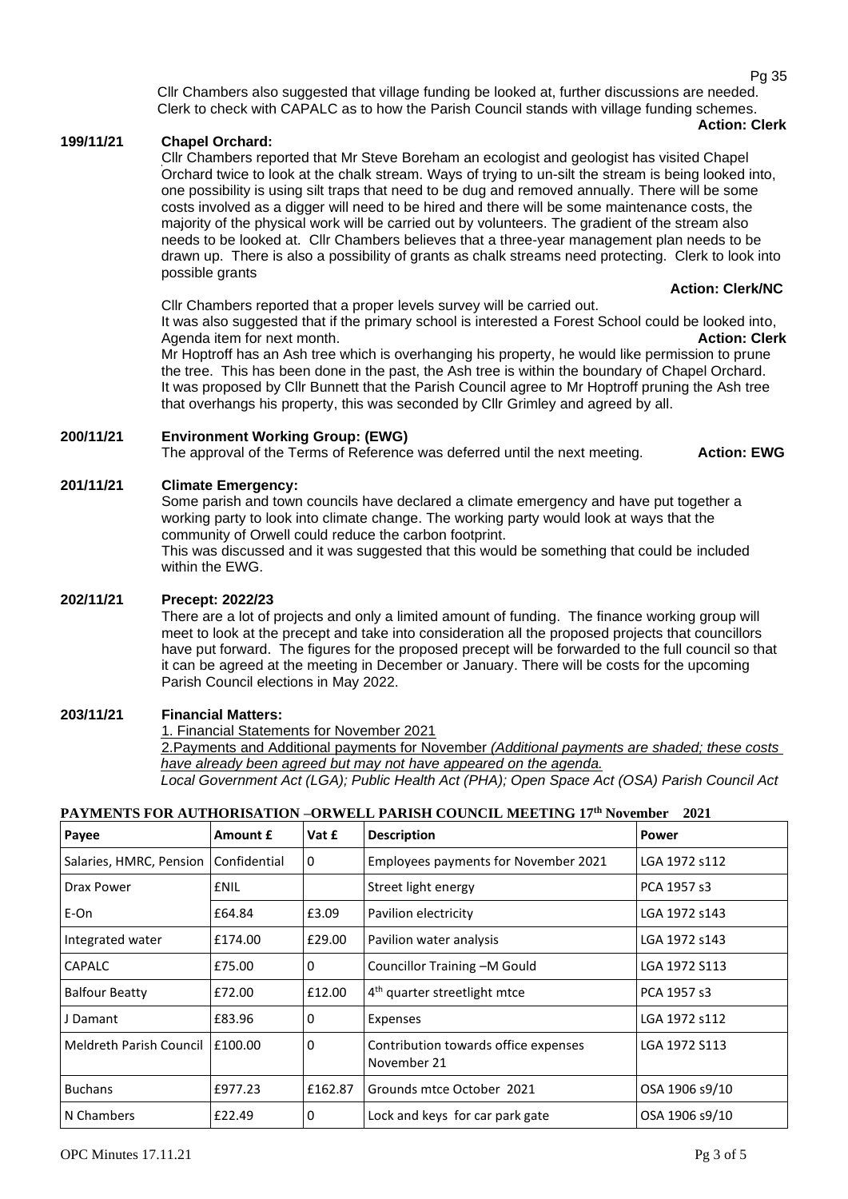Pg 35

Cllr Chambers also suggested that village funding be looked at, further discussions are needed. Clerk to check with CAPALC as to how the Parish Council stands with village funding schemes. **Action: Clerk**

## **199/11/21 Chapel Orchard:**

Cllr Chambers reported that Mr Steve Boreham an ecologist and geologist has visited Chapel Orchard twice to look at the chalk stream. Ways of trying to un-silt the stream is being looked into, one possibility is using silt traps that need to be dug and removed annually. There will be some costs involved as a digger will need to be hired and there will be some maintenance costs, the majority of the physical work will be carried out by volunteers. The gradient of the stream also needs to be looked at. Cllr Chambers believes that a three-year management plan needs to be drawn up. There is also a possibility of grants as chalk streams need protecting. Clerk to look into possible grants

## **Action: Clerk/NC**

Cllr Chambers reported that a proper levels survey will be carried out. It was also suggested that if the primary school is interested a Forest School could be looked into, Agenda item for next month. **Action: Clerk**

Mr Hoptroff has an Ash tree which is overhanging his property, he would like permission to prune the tree. This has been done in the past, the Ash tree is within the boundary of Chapel Orchard. It was proposed by Cllr Bunnett that the Parish Council agree to Mr Hoptroff pruning the Ash tree that overhangs his property, this was seconded by Cllr Grimley and agreed by all.

## **200/11/21 Environment Working Group: (EWG)**

The approval of the Terms of Reference was deferred until the next meeting. **Action: EWG**

# **201/11/21 Climate Emergency:**

Some parish and town councils have declared a climate emergency and have put together a working party to look into climate change. The working party would look at ways that the community of Orwell could reduce the carbon footprint. This was discussed and it was suggested that this would be something that could be included within the EWG.

## **202/11/21 Precept: 2022/23**

There are a lot of projects and only a limited amount of funding. The finance working group will meet to look at the precept and take into consideration all the proposed projects that councillors have put forward. The figures for the proposed precept will be forwarded to the full council so that it can be agreed at the meeting in December or January. There will be costs for the upcoming Parish Council elections in May 2022.

## **203/11/21 Financial Matters:**

1. Financial Statements for November 2021

2.Payments and Additional payments for November *(Additional payments are shaded; these costs have already been agreed but may not have appeared on the agenda.*

*Local Government Act (LGA); Public Health Act (PHA); Open Space Act (OSA) Parish Council Act* 

| Payee                                  | Amount £    | Vat £   | <b>Description</b>                                  | Power          |
|----------------------------------------|-------------|---------|-----------------------------------------------------|----------------|
| Salaries, HMRC, Pension   Confidential |             | 0       | Employees payments for November 2021                | LGA 1972 s112  |
| Drax Power                             | <b>ENIL</b> |         | Street light energy                                 | PCA 1957 s3    |
| E-On                                   | £64.84      | £3.09   | Pavilion electricity                                | LGA 1972 s143  |
| Integrated water                       | £174.00     | £29.00  | Pavilion water analysis                             | LGA 1972 s143  |
| <b>CAPALC</b>                          | £75.00      | 0       | Councillor Training -M Gould                        | LGA 1972 S113  |
| <b>Balfour Beatty</b>                  | £72.00      | £12.00  | 4 <sup>th</sup> quarter streetlight mtce            | PCA 1957 s3    |
| J Damant                               | £83.96      | 0       | Expenses                                            | LGA 1972 s112  |
| Meldreth Parish Council   £100.00      |             | 0       | Contribution towards office expenses<br>November 21 | LGA 1972 S113  |
| <b>Buchans</b>                         | £977.23     | £162.87 | Grounds mtce October 2021                           | OSA 1906 s9/10 |
| N Chambers                             | £22.49      | 0       | Lock and keys for car park gate                     | OSA 1906 s9/10 |

## **PAYMENTS FOR AUTHORISATION –ORWELL PARISH COUNCIL MEETING 17 th November 2021**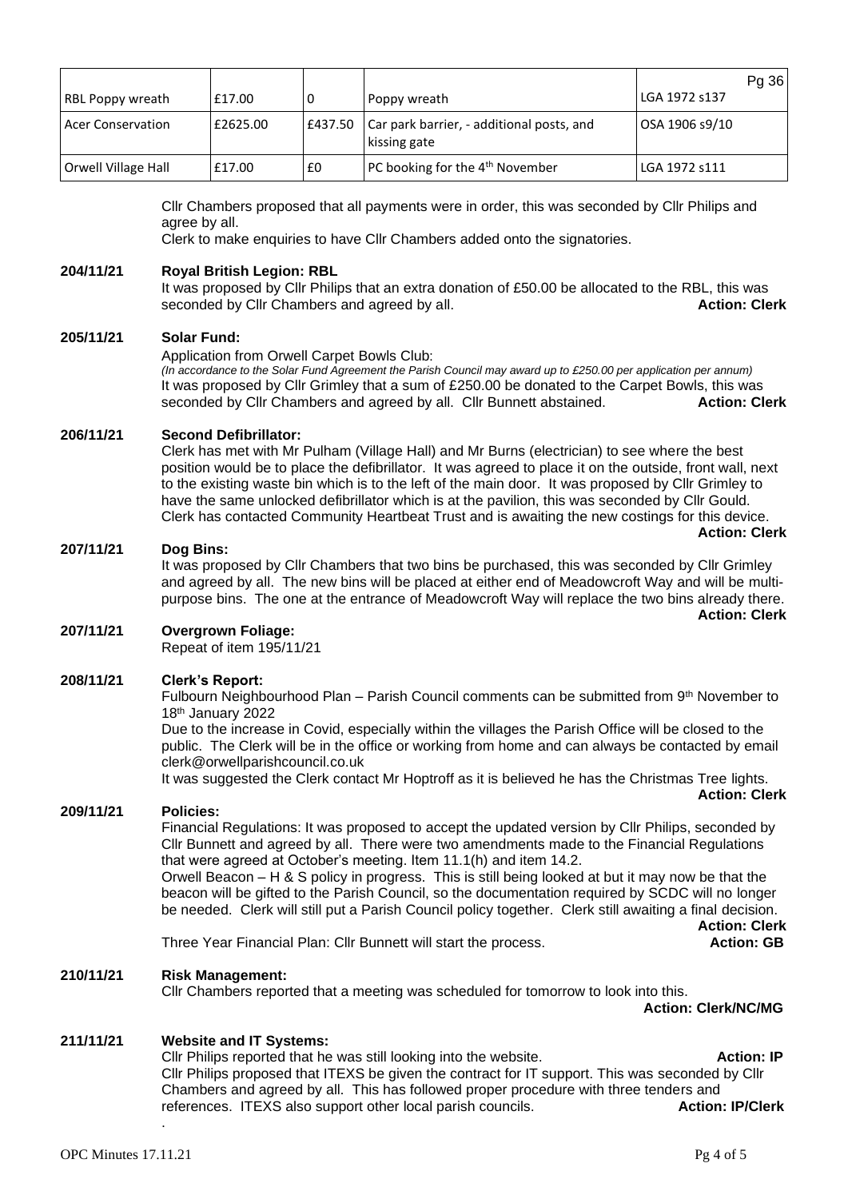| RBL Poppy wreath         | £17.00   |         | Poppy wreath                                              | LGA 1972 s137  | Pg 36 |
|--------------------------|----------|---------|-----------------------------------------------------------|----------------|-------|
| <b>Acer Conservation</b> | £2625.00 | £437.50 | Car park barrier, - additional posts, and<br>kissing gate | OSA 1906 s9/10 |       |
| Orwell Village Hall      | £17.00   | £0      | PC booking for the 4 <sup>th</sup> November               | LGA 1972 s111  |       |

Cllr Chambers proposed that all payments were in order, this was seconded by Cllr Philips and agree by all.

Clerk to make enquiries to have Cllr Chambers added onto the signatories.

## **204/11/21 Royal British Legion: RBL**

It was proposed by Cllr Philips that an extra donation of £50.00 be allocated to the RBL, this was seconded by Cllr Chambers and agreed by all. **Action: Clerk Action: Clerk** 

## **205/11/21 Solar Fund:**

#### Application from Orwell Carpet Bowls Club:

*(In accordance to the Solar Fund Agreement the Parish Council may award up to £250.00 per application per annum)* It was proposed by Cllr Grimley that a sum of £250.00 be donated to the Carpet Bowls, this was<br>seconded by Cllr Chambers and agreed by all Cllr Bunnett abstained **Action: Clerk** seconded by Cllr Chambers and agreed by all. Cllr Bunnett abstained.

#### **206/11/21 Second Defibrillator:**

Clerk has met with Mr Pulham (Village Hall) and Mr Burns (electrician) to see where the best position would be to place the defibrillator. It was agreed to place it on the outside, front wall, next to the existing waste bin which is to the left of the main door. It was proposed by Cllr Grimley to have the same unlocked defibrillator which is at the pavilion, this was seconded by Cllr Gould. Clerk has contacted Community Heartbeat Trust and is awaiting the new costings for this device.

#### **207/11/21 Dog Bins:**

It was proposed by Cllr Chambers that two bins be purchased, this was seconded by Cllr Grimley and agreed by all. The new bins will be placed at either end of Meadowcroft Way and will be multipurpose bins. The one at the entrance of Meadowcroft Way will replace the two bins already there.

 **Action: Clerk** 

**Action: Clerk**

## **207/11/21 Overgrown Foliage:**

Repeat of item 195/11/21

## **208/11/21 Clerk's Report:**

Fulbourn Neighbourhood Plan – Parish Council comments can be submitted from  $9<sup>th</sup>$  November to 18th January 2022

Due to the increase in Covid, especially within the villages the Parish Office will be closed to the public. The Clerk will be in the office or working from home and can always be contacted by email [clerk@orwellparishcouncil.co.uk](mailto:clerk@orwellparishcouncil.co.uk)

It was suggested the Clerk contact Mr Hoptroff as it is believed he has the Christmas Tree lights. **Action: Clerk**

#### **209/11/21 Policies:**

Financial Regulations: It was proposed to accept the updated version by Cllr Philips, seconded by Cllr Bunnett and agreed by all. There were two amendments made to the Financial Regulations that were agreed at October's meeting. Item 11.1(h) and item 14.2.

Orwell Beacon – H & S policy in progress. This is still being looked at but it may now be that the beacon will be gifted to the Parish Council, so the documentation required by SCDC will no longer be needed. Clerk will still put a Parish Council policy together. Clerk still awaiting a final decision. **Action: Clerk**

Three Year Financial Plan: Cllr Bunnett will start the process.

# **210/11/21 Risk Management:**

Cllr Chambers reported that a meeting was scheduled for tomorrow to look into this.

 **Action: Clerk/NC/MG**

#### **211/11/21 Website and IT Systems:**

Cllr Philips reported that he was still looking into the website. **Action: IP** Action: IP Cllr Philips proposed that ITEXS be given the contract for IT support. This was seconded by Cllr Chambers and agreed by all. This has followed proper procedure with three tenders and references. ITEXS also support other local parish councils. **Action: IP/Clerk**

.